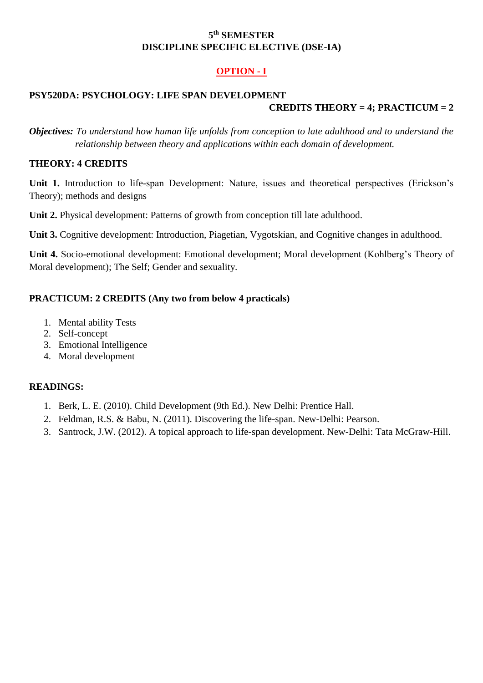### **5 th SEMESTER DISCIPLINE SPECIFIC ELECTIVE (DSE-IA)**

# **OPTION - I**

## **PSY520DA: PSYCHOLOGY: LIFE SPAN DEVELOPMENT CREDITS THEORY = 4; PRACTICUM = 2**

*Objectives: To understand how human life unfolds from conception to late adulthood and to understand the relationship between theory and applications within each domain of development.*

#### **THEORY: 4 CREDITS**

**Unit 1.** Introduction to life-span Development: Nature, issues and theoretical perspectives (Erickson's Theory); methods and designs

**Unit 2.** Physical development: Patterns of growth from conception till late adulthood.

**Unit 3.** Cognitive development: Introduction, Piagetian, Vygotskian, and Cognitive changes in adulthood.

**Unit 4.** Socio-emotional development: Emotional development; Moral development (Kohlberg's Theory of Moral development); The Self; Gender and sexuality.

#### **PRACTICUM: 2 CREDITS (Any two from below 4 practicals)**

- 1. Mental ability Tests
- 2. Self-concept
- 3. Emotional Intelligence
- 4. Moral development

#### **READINGS:**

- 1. Berk, L. E. (2010). Child Development (9th Ed.). New Delhi: Prentice Hall.
- 2. Feldman, R.S. & Babu, N. (2011). Discovering the life-span. New-Delhi: Pearson.
- 3. Santrock, J.W. (2012). A topical approach to life-span development. New-Delhi: Tata McGraw-Hill.